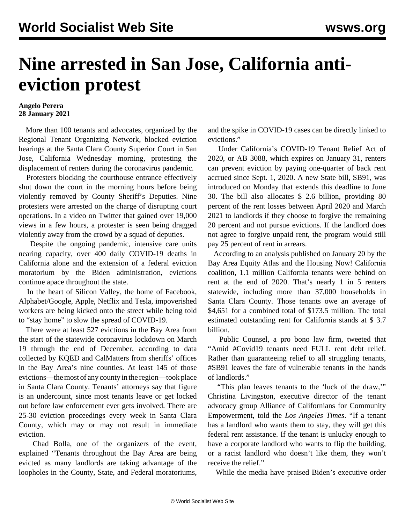## **Nine arrested in San Jose, California antieviction protest**

## **Angelo Perera 28 January 2021**

 More than 100 tenants and advocates, organized by the Regional Tenant Organizing Network, blocked eviction hearings at the Santa Clara County Superior Court in San Jose, California Wednesday morning, protesting the displacement of renters during the coronavirus pandemic.

 Protesters blocking the courthouse entrance effectively shut down the court in the morning hours before being violently removed by County Sheriff's Deputies. Nine protesters were arrested on the charge of disrupting court operations. In a [video](https://twitter.com/i/status/1354523699680997377) on Twitter that gained over 19,000 views in a few hours, a protester is seen being dragged violently away from the crowd by a squad of deputies.

 Despite the ongoing pandemic, intensive care units nearing capacity, over 400 daily COVID-19 deaths in California alone and the extension of a federal eviction moratorium by the Biden administration, evictions continue apace throughout the state.

 In the heart of Silicon Valley, the home of Facebook, Alphabet/Google, Apple, Netflix and Tesla, impoverished workers are being kicked onto the street while being told to "stay home" to slow the spread of COVID-19.

 There were at least 527 evictions in the Bay Area from the start of the statewide coronavirus lockdown on March 19 through the end of December, according to data collected by KQED and CalMatters from sheriffs' offices in the Bay Area's nine counties. At least 145 of those evictions—the most of any county in the region—took place in Santa Clara County. Tenants' attorneys say that figure is an undercount, since most tenants leave or get locked out before law enforcement ever gets involved. There are 25-30 eviction proceedings every week in Santa Clara County, which may or may not result in immediate eviction.

 Chad Bolla, one of the organizers of the event, explained "Tenants throughout the Bay Area are being evicted as many landlords are taking advantage of the loopholes in the County, State, and Federal moratoriums,

and the spike in COVID-19 cases can be directly linked to evictions."

 Under California's COVID-19 Tenant Relief Act of 2020, or AB 3088, which expires on January 31, renters can prevent eviction by paying one-quarter of back rent accrued since Sept. 1, 2020. A new State bill, SB91, was introduced on Monday that extends this deadline to June 30. The bill also allocates \$ 2.6 billion, providing 80 percent of the rent losses between April 2020 and March 2021 to landlords if they choose to forgive the remaining 20 percent and not pursue evictions. If the landlord does not agree to forgive unpaid rent, the program would still pay 25 percent of rent in arrears.

 According to an [analysis](https://bayareaequityatlas.org/research/analyses/COVID-19-evictions-california) published on January 20 by the Bay Area Equity Atlas and the Housing Now! California coalition, 1.1 million California tenants were behind on rent at the end of 2020. That's nearly 1 in 5 renters statewide, including more than 37,000 households in Santa Clara County. Those tenants owe an average of \$4,651 for a combined total of \$173.5 million. The total estimated outstanding rent for California stands at \$ 3.7 billion.

 Public Counsel, a pro bono law firm, tweeted that "Amid #Covid19 tenants need FULL rent debt relief. Rather than guaranteeing relief to all struggling tenants, #SB91 leaves the fate of vulnerable tenants in the hands of landlords."

 "This plan leaves tenants to the 'luck of the draw,'" Christina Livingston, executive director of the tenant advocacy group Alliance of Californians for Community Empowerment, told the *Los Angeles Times*. "If a tenant has a landlord who wants them to stay, they will get this federal rent assistance. If the tenant is unlucky enough to have a corporate landlord who wants to flip the building, or a racist landlord who doesn't like them, they won't receive the relief."

While the media have praised Biden's executive order